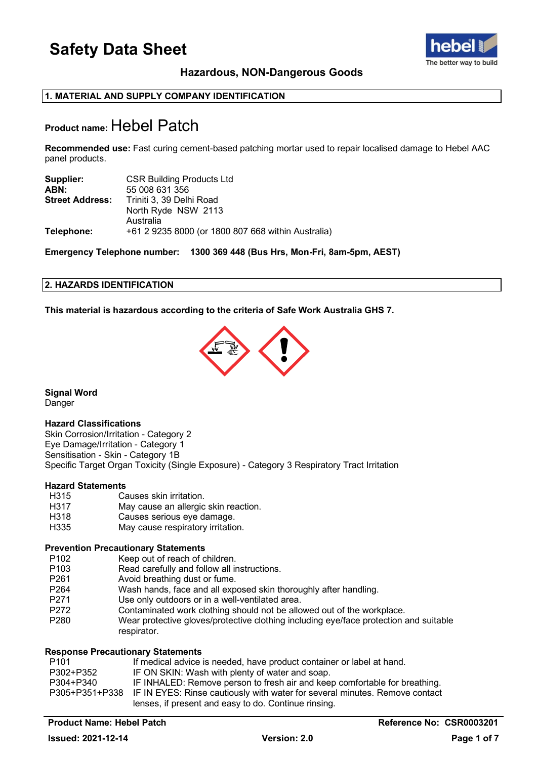

### **Hazardous, NON-Dangerous Goods**

### **1. MATERIAL AND SUPPLY COMPANY IDENTIFICATION**

### **Product name:** Hebel Patch

**Recommended use:** Fast curing cement-based patching mortar used to repair localised damage to Hebel AAC panel products.

| Supplier:              | <b>CSR Building Products Ltd</b>                   |
|------------------------|----------------------------------------------------|
| ABN:                   | 55 008 631 356                                     |
| <b>Street Address:</b> | Triniti 3, 39 Delhi Road                           |
|                        | North Ryde NSW 2113                                |
|                        | Australia                                          |
| Telephone:             | +61 2 9235 8000 (or 1800 807 668 within Australia) |

**Emergency Telephone number: 1300 369 448 (Bus Hrs, Mon-Fri, 8am-5pm, AEST)**

### **2. HAZARDS IDENTIFICATION**

**This material is hazardous according to the criteria of Safe Work Australia GHS 7.**



**Signal Word**

Danger

### **Hazard Classifications**

Skin Corrosion/Irritation - Category 2 Eye Damage/Irritation - Category 1 Sensitisation - Skin - Category 1B Specific Target Organ Toxicity (Single Exposure) - Category 3 Respiratory Tract Irritation

### **Hazard Statements**

- H315 Causes skin irritation.<br>H317 May cause an allergic
- H317 May cause an allergic skin reaction.<br>H318 Causes serious eve damage.
- H318 Causes serious eye damage.<br>H335 May cause respiratory irritation
- May cause respiratory irritation.

### **Prevention Precautionary Statements**

- P102 Keep out of reach of children.<br>P103 Read carefully and follow all in
- P103 Read carefully and follow all instructions.<br>P261 Avoid breathing dust or fume.
- Avoid breathing dust or fume.
- P264 Wash hands, face and all exposed skin thoroughly after handling.<br>P271 Use only outdoors or in a well-ventilated area.
- Use only outdoors or in a well-ventilated area.
- P272 Contaminated work clothing should not be allowed out of the workplace.
- P280 Wear protective gloves/protective clothing including eye/face protection and suitable respirator.

### **Response Precautionary Statements**

| P101      | If medical advice is needed, have product container or label at hand.                      |
|-----------|--------------------------------------------------------------------------------------------|
| P302+P352 | IF ON SKIN: Wash with plenty of water and soap.                                            |
| P304+P340 | IF INHALED: Remove person to fresh air and keep comfortable for breathing.                 |
|           | P305+P351+P338 IF IN EYES: Rinse cautiously with water for several minutes. Remove contact |
|           | lenses, if present and easy to do. Continue rinsing.                                       |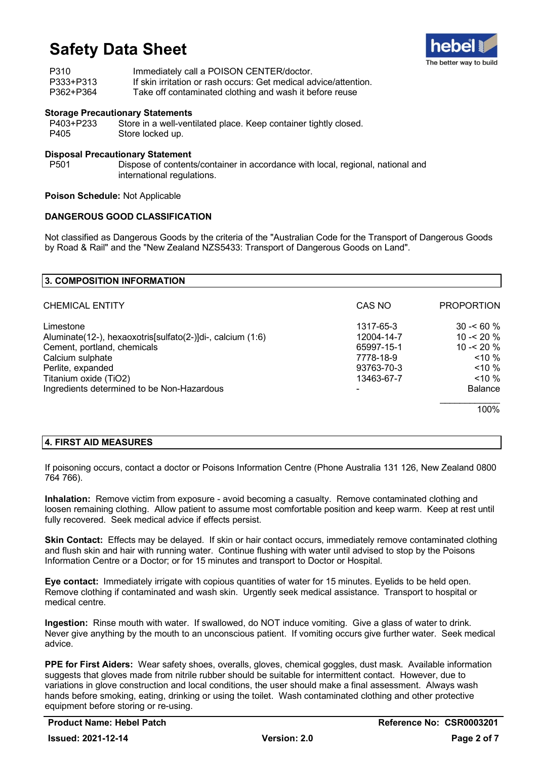

| P310      | Immediately call a POISON CENTER/doctor.                         |
|-----------|------------------------------------------------------------------|
| P333+P313 | If skin irritation or rash occurs: Get medical advice/attention. |
| P362+P364 | Take off contaminated clothing and wash it before reuse          |

# **Storage Precautionary Statements**

P403+P233 Store in a well-ventilated place. Keep container tightly closed.<br>P405 Store locked up. Store locked up.

### **Disposal Precautionary Statement**

Dispose of contents/container in accordance with local, regional, national and international regulations.

**Poison Schedule:** Not Applicable

### **DANGEROUS GOOD CLASSIFICATION**

Not classified as Dangerous Goods by the criteria of the "Australian Code for the Transport of Dangerous Goods by Road & Rail" and the "New Zealand NZS5433: Transport of Dangerous Goods on Land".

| 3. COMPOSITION INFORMATION                                 |            |                   |
|------------------------------------------------------------|------------|-------------------|
| <b>CHEMICAL ENTITY</b>                                     | CAS NO     | <b>PROPORTION</b> |
| Limestone                                                  | 1317-65-3  | $30 - 60 \%$      |
| Aluminate(12-), hexaoxotris[sulfato(2-)]di-, calcium (1:6) | 12004-14-7 | 10 - $20\%$       |
| Cement, portland, chemicals                                | 65997-15-1 | 10 - $< 20 \%$    |
| Calcium sulphate                                           | 7778-18-9  | $10\%$            |
| Perlite, expanded                                          | 93763-70-3 | $10\%$            |
| Titanium oxide (TiO2)                                      | 13463-67-7 | $10\%$            |
| Ingredients determined to be Non-Hazardous                 |            | <b>Balance</b>    |
|                                                            |            | 100%              |
|                                                            |            |                   |

### **4. FIRST AID MEASURES**

If poisoning occurs, contact a doctor or Poisons Information Centre (Phone Australia 131 126, New Zealand 0800 764 766).

**Inhalation:** Remove victim from exposure - avoid becoming a casualty. Remove contaminated clothing and loosen remaining clothing. Allow patient to assume most comfortable position and keep warm. Keep at rest until fully recovered. Seek medical advice if effects persist.

**Skin Contact:** Effects may be delayed. If skin or hair contact occurs, immediately remove contaminated clothing and flush skin and hair with running water. Continue flushing with water until advised to stop by the Poisons Information Centre or a Doctor; or for 15 minutes and transport to Doctor or Hospital.

**Eye contact:** Immediately irrigate with copious quantities of water for 15 minutes. Eyelids to be held open. Remove clothing if contaminated and wash skin. Urgently seek medical assistance. Transport to hospital or medical centre.

**Ingestion:** Rinse mouth with water. If swallowed, do NOT induce vomiting. Give a glass of water to drink. Never give anything by the mouth to an unconscious patient. If vomiting occurs give further water. Seek medical advice.

**PPE for First Aiders:** Wear safety shoes, overalls, gloves, chemical goggles, dust mask. Available information suggests that gloves made from nitrile rubber should be suitable for intermittent contact. However, due to variations in glove construction and local conditions, the user should make a final assessment. Always wash hands before smoking, eating, drinking or using the toilet. Wash contaminated clothing and other protective equipment before storing or re-using.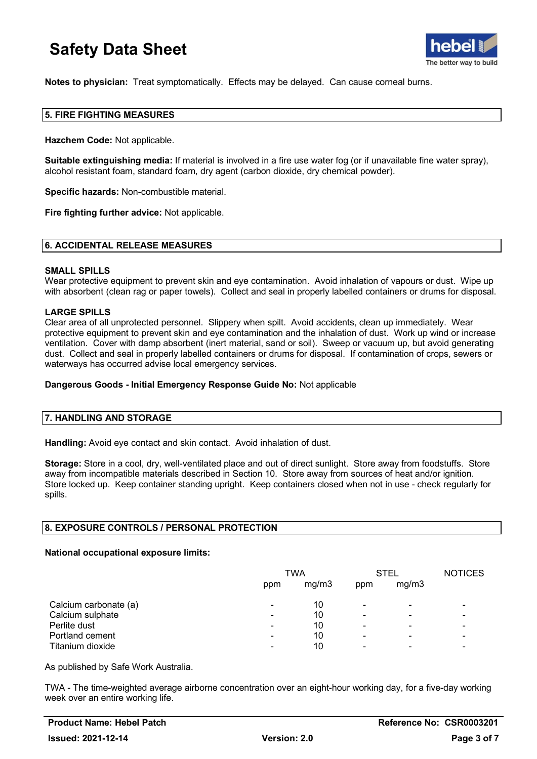

**Notes to physician:** Treat symptomatically. Effects may be delayed. Can cause corneal burns.

### **5. FIRE FIGHTING MEASURES**

**Hazchem Code:** Not applicable.

**Suitable extinguishing media:** If material is involved in a fire use water fog (or if unavailable fine water spray), alcohol resistant foam, standard foam, dry agent (carbon dioxide, dry chemical powder).

**Specific hazards:** Non-combustible material.

**Fire fighting further advice:** Not applicable.

#### **6. ACCIDENTAL RELEASE MEASURES**

#### **SMALL SPILLS**

Wear protective equipment to prevent skin and eye contamination. Avoid inhalation of vapours or dust. Wipe up with absorbent (clean rag or paper towels). Collect and seal in properly labelled containers or drums for disposal.

### **LARGE SPILLS**

Clear area of all unprotected personnel. Slippery when spilt. Avoid accidents, clean up immediately. Wear protective equipment to prevent skin and eye contamination and the inhalation of dust. Work up wind or increase ventilation. Cover with damp absorbent (inert material, sand or soil). Sweep or vacuum up, but avoid generating dust. Collect and seal in properly labelled containers or drums for disposal. If contamination of crops, sewers or waterways has occurred advise local emergency services.

### **Dangerous Goods - Initial Emergency Response Guide No:** Not applicable

#### **7. HANDLING AND STORAGE**

**Handling:** Avoid eye contact and skin contact. Avoid inhalation of dust.

**Storage:** Store in a cool, dry, well-ventilated place and out of direct sunlight. Store away from foodstuffs. Store away from incompatible materials described in Section 10. Store away from sources of heat and/or ignition. Store locked up. Keep container standing upright. Keep containers closed when not in use - check regularly for spills.

### **8. EXPOSURE CONTROLS / PERSONAL PROTECTION**

### **National occupational exposure limits:**

|                       | TWA                      |       | STEL                     |       | <b>NOTICES</b>           |
|-----------------------|--------------------------|-------|--------------------------|-------|--------------------------|
|                       | ppm                      | mg/m3 | ppm                      | mg/m3 |                          |
| Calcium carbonate (a) | $\overline{\phantom{0}}$ | 10    | $\overline{\phantom{0}}$ | -     |                          |
| Calcium sulphate      | ۰                        | 10    | $\overline{\phantom{0}}$ | -     |                          |
| Perlite dust          | $\blacksquare$           | 10    |                          | -     |                          |
| Portland cement       | ۰                        | 10    | ۰                        | -     |                          |
| Titanium dioxide      | -                        | 10    | -                        | -     | $\overline{\phantom{0}}$ |

As published by Safe Work Australia.

TWA - The time-weighted average airborne concentration over an eight-hour working day, for a five-day working week over an entire working life.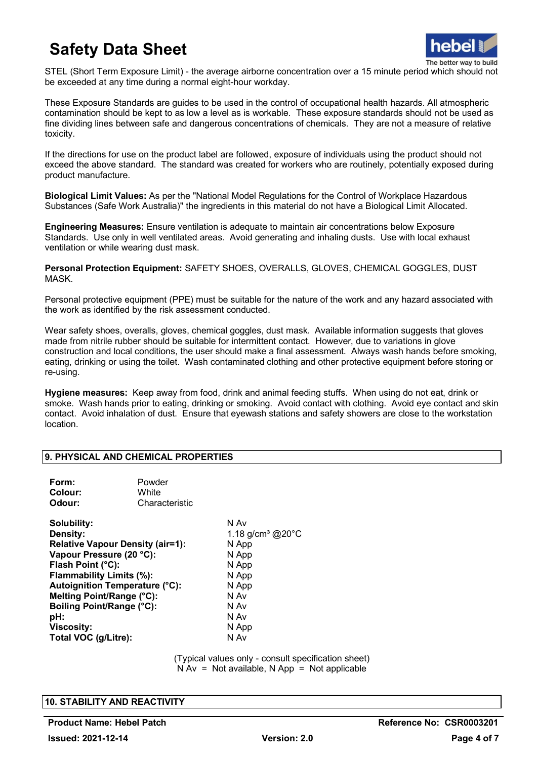

STEL (Short Term Exposure Limit) - the average airborne concentration over a 15 minute period which should not be exceeded at any time during a normal eight-hour workday.

These Exposure Standards are guides to be used in the control of occupational health hazards. All atmospheric contamination should be kept to as low a level as is workable. These exposure standards should not be used as fine dividing lines between safe and dangerous concentrations of chemicals. They are not a measure of relative toxicity.

If the directions for use on the product label are followed, exposure of individuals using the product should not exceed the above standard. The standard was created for workers who are routinely, potentially exposed during product manufacture.

**Biological Limit Values:** As per the "National Model Regulations for the Control of Workplace Hazardous Substances (Safe Work Australia)" the ingredients in this material do not have a Biological Limit Allocated.

**Engineering Measures:** Ensure ventilation is adequate to maintain air concentrations below Exposure Standards. Use only in well ventilated areas. Avoid generating and inhaling dusts. Use with local exhaust ventilation or while wearing dust mask.

**Personal Protection Equipment:** SAFETY SHOES, OVERALLS, GLOVES, CHEMICAL GOGGLES, DUST MASK.

Personal protective equipment (PPE) must be suitable for the nature of the work and any hazard associated with the work as identified by the risk assessment conducted.

Wear safety shoes, overalls, gloves, chemical goggles, dust mask. Available information suggests that gloves made from nitrile rubber should be suitable for intermittent contact. However, due to variations in glove construction and local conditions, the user should make a final assessment. Always wash hands before smoking, eating, drinking or using the toilet. Wash contaminated clothing and other protective equipment before storing or re-using.

**Hygiene measures:** Keep away from food, drink and animal feeding stuffs. When using do not eat, drink or smoke. Wash hands prior to eating, drinking or smoking. Avoid contact with clothing. Avoid eye contact and skin contact. Avoid inhalation of dust. Ensure that eyewash stations and safety showers are close to the workstation location.

### **9. PHYSICAL AND CHEMICAL PROPERTIES**

| Form:<br>Colour:<br>Odour:                                                                                                                                                                                                                                                                             | Powder<br>White<br>Characteristic |                                                                                                                                       |
|--------------------------------------------------------------------------------------------------------------------------------------------------------------------------------------------------------------------------------------------------------------------------------------------------------|-----------------------------------|---------------------------------------------------------------------------------------------------------------------------------------|
| Solubility:<br>Density:<br><b>Relative Vapour Density (air=1):</b><br>Vapour Pressure (20 °C):<br>Flash Point (°C):<br>Flammability Limits (%):<br>Autoignition Temperature (°C):<br>Melting Point/Range (°C):<br><b>Boiling Point/Range (°C):</b><br>pH:<br><b>Viscosity:</b><br>Total VOC (g/Litre): |                                   | N Av<br>1.18 g/cm <sup>3</sup> @ $20^{\circ}$ C<br>N App<br>N App<br>N App<br>N App<br>N App<br>N Av<br>N Av<br>N Av<br>N App<br>N Av |

(Typical values only - consult specification sheet)  $N Av = Not available$ ,  $N App = Not applicable$ 

### **10. STABILITY AND REACTIVITY**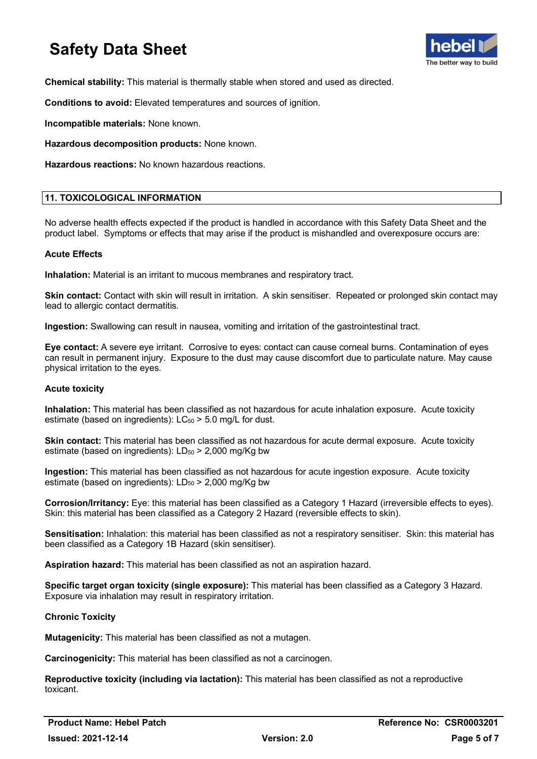

**Chemical stability:** This material is thermally stable when stored and used as directed.

**Conditions to avoid:** Elevated temperatures and sources of ignition.

**Incompatible materials:** None known.

**Hazardous decomposition products:** None known.

**Hazardous reactions:** No known hazardous reactions.

### **11. TOXICOLOGICAL INFORMATION**

No adverse health effects expected if the product is handled in accordance with this Safety Data Sheet and the product label. Symptoms or effects that may arise if the product is mishandled and overexposure occurs are:

### **Acute Effects**

**Inhalation:** Material is an irritant to mucous membranes and respiratory tract.

**Skin contact:** Contact with skin will result in irritation. A skin sensitiser. Repeated or prolonged skin contact may lead to allergic contact dermatitis.

**Ingestion:** Swallowing can result in nausea, vomiting and irritation of the gastrointestinal tract.

**Eye contact:** A severe eye irritant. Corrosive to eyes: contact can cause corneal burns. Contamination of eyes can result in permanent injury. Exposure to the dust may cause discomfort due to particulate nature. May cause physical irritation to the eyes.

### **Acute toxicity**

**Inhalation:** This material has been classified as not hazardous for acute inhalation exposure. Acute toxicity estimate (based on ingredients):  $LC_{50}$  > 5.0 mg/L for dust.

**Skin contact:** This material has been classified as not hazardous for acute dermal exposure. Acute toxicity estimate (based on ingredients):  $LD_{50}$  > 2,000 mg/Kg bw

**Ingestion:** This material has been classified as not hazardous for acute ingestion exposure. Acute toxicity estimate (based on ingredients):  $LD_{50}$  > 2,000 mg/Kg bw

**Corrosion/Irritancy:** Eye: this material has been classified as a Category 1 Hazard (irreversible effects to eyes). Skin: this material has been classified as a Category 2 Hazard (reversible effects to skin).

**Sensitisation:** Inhalation: this material has been classified as not a respiratory sensitiser. Skin: this material has been classified as a Category 1B Hazard (skin sensitiser).

**Aspiration hazard:** This material has been classified as not an aspiration hazard.

**Specific target organ toxicity (single exposure):** This material has been classified as a Category 3 Hazard. Exposure via inhalation may result in respiratory irritation.

### **Chronic Toxicity**

**Mutagenicity:** This material has been classified as not a mutagen.

**Carcinogenicity:** This material has been classified as not a carcinogen.

**Reproductive toxicity (including via lactation):** This material has been classified as not a reproductive toxicant.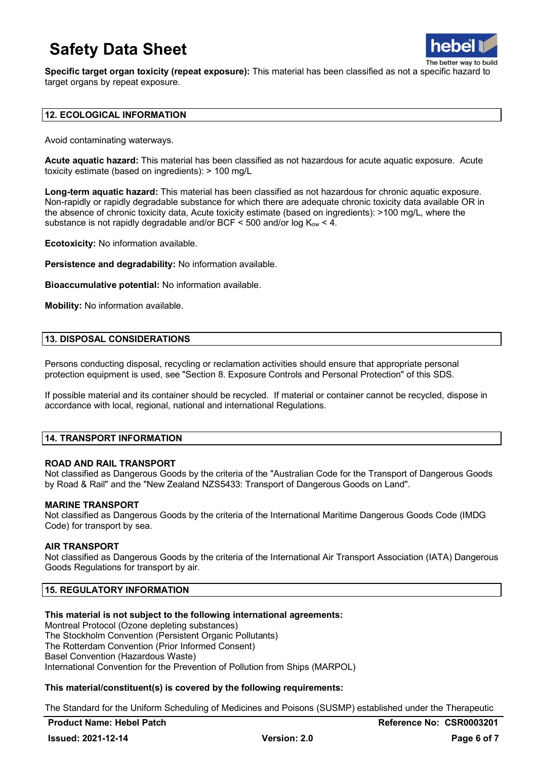

**Specific target organ toxicity (repeat exposure):** This material has been classified as not a specific hazard to target organs by repeat exposure.

### **12. ECOLOGICAL INFORMATION**

Avoid contaminating waterways.

**Acute aquatic hazard:** This material has been classified as not hazardous for acute aquatic exposure. Acute toxicity estimate (based on ingredients): > 100 mg/L

**Long-term aquatic hazard:** This material has been classified as not hazardous for chronic aquatic exposure. Non-rapidly or rapidly degradable substance for which there are adequate chronic toxicity data available OR in the absence of chronic toxicity data, Acute toxicity estimate (based on ingredients): >100 mg/L, where the substance is not rapidly degradable and/or BCF  $\leq$  500 and/or log K<sub>ow</sub>  $\lt$  4.

**Ecotoxicity:** No information available.

**Persistence and degradability:** No information available.

**Bioaccumulative potential:** No information available.

**Mobility:** No information available.

#### **13. DISPOSAL CONSIDERATIONS**

Persons conducting disposal, recycling or reclamation activities should ensure that appropriate personal protection equipment is used, see "Section 8. Exposure Controls and Personal Protection" of this SDS.

If possible material and its container should be recycled. If material or container cannot be recycled, dispose in accordance with local, regional, national and international Regulations.

### **14. TRANSPORT INFORMATION**

### **ROAD AND RAIL TRANSPORT**

Not classified as Dangerous Goods by the criteria of the "Australian Code for the Transport of Dangerous Goods by Road & Rail" and the "New Zealand NZS5433: Transport of Dangerous Goods on Land".

#### **MARINE TRANSPORT**

Not classified as Dangerous Goods by the criteria of the International Maritime Dangerous Goods Code (IMDG Code) for transport by sea.

#### **AIR TRANSPORT**

Not classified as Dangerous Goods by the criteria of the International Air Transport Association (IATA) Dangerous Goods Regulations for transport by air.

### **15. REGULATORY INFORMATION**

#### **This material is not subject to the following international agreements:**

Montreal Protocol (Ozone depleting substances) The Stockholm Convention (Persistent Organic Pollutants) The Rotterdam Convention (Prior Informed Consent) Basel Convention (Hazardous Waste) International Convention for the Prevention of Pollution from Ships (MARPOL)

### **This material/constituent(s) is covered by the following requirements:**

The Standard for the Uniform Scheduling of Medicines and Poisons (SUSMP) established under the Therapeutic